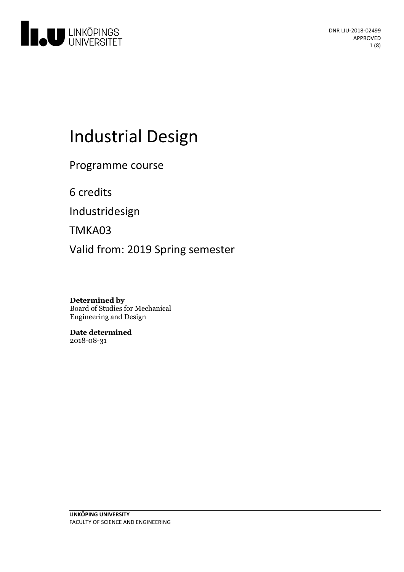

# Industrial Design

Programme course

6 credits

Industridesign

TMKA03

Valid from: 2019 Spring semester

**Determined by** Board of Studies for Mechanical Engineering and Design

**Date determined** 2018-08-31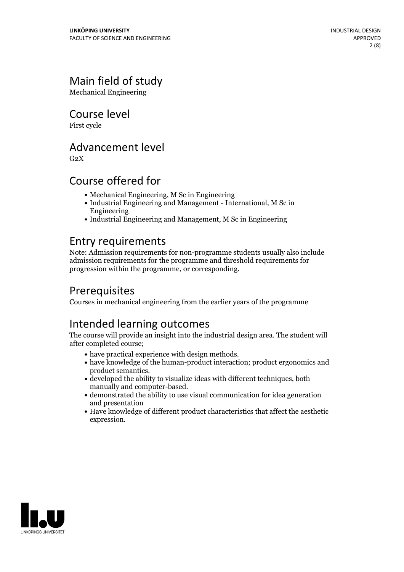# Main field of study

Mechanical Engineering

Course level

First cycle

### Advancement level

 $G<sub>2</sub>X$ 

## Course offered for

- Mechanical Engineering, M Sc in Engineering
- Industrial Engineering and Management International, M Sc in Engineering
- Industrial Engineering and Management, M Sc in Engineering

## Entry requirements

Note: Admission requirements for non-programme students usually also include admission requirements for the programme and threshold requirements for progression within the programme, or corresponding.

# Prerequisites

Courses in mechanical engineering from the earlier years of the programme

# Intended learning outcomes

The course will provide an insight into the industrial design area. The student will after completed course;

- 
- have practical experience with design methods.<br>- have knowledge of the human-product interaction; product ergonomics and product semantics.
- $\bullet$  developed the ability to visualize ideas with different techniques, both manually and computer-based.<br> $\bullet$  demonstrated the ability to use visual communication for idea generation
- and presentation
- Have knowledge of different product characteristics that affect the aesthetic expression.

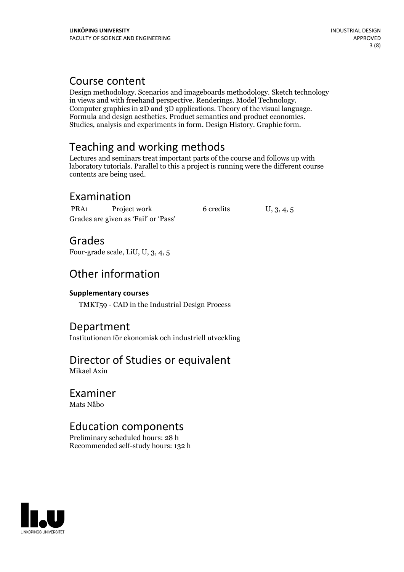### Course content

Design methodology. Scenarios and imageboards methodology. Sketch technology Computer graphics in 2D and 3D applications. Theory of the visual language.<br>Formula and design aesthetics. Product semantics and product economics.<br>Studies, analysis and experiments in form. Design History. Graphic form.

# Teaching and working methods

Lectures and seminars treat important parts of the course and follows up with laboratory tutorials. Parallel to this a project is running were the different course contents are being used.

# Examination

PRA1 Project work 6 credits U, 3, 4, 5 Grades are given as'Fail' or 'Pass'

Grades

Four-grade scale, LiU, U, 3, 4, 5

# Other information

### **Supplementarycourses**

TMKT59 - CAD in the Industrial Design Process

### Department

Institutionen för ekonomisk och industriell utveckling

### Director of Studies or equivalent Mikael Axin

### Examiner Mats Nåbo

# Education components

Preliminary scheduled hours: 28 h Recommended self-study hours: 132 h

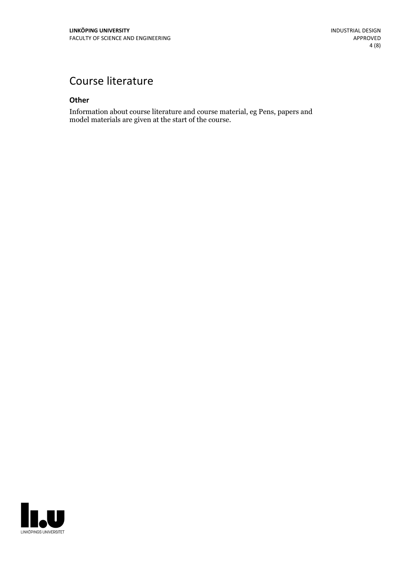# Course literature

#### **Other**

Information about course literature and course material, eg Pens, papers and model materials are given at the start of the course.

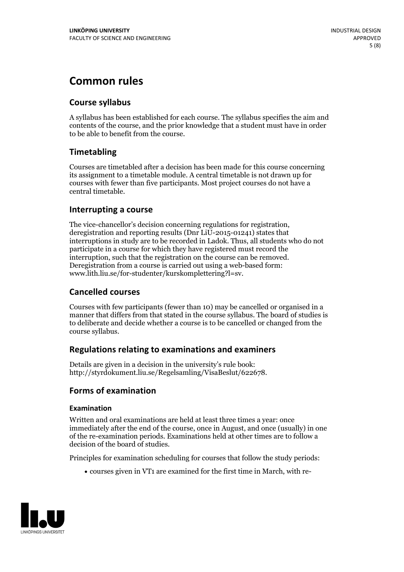# **Common rules**

### **Course syllabus**

A syllabus has been established for each course. The syllabus specifies the aim and contents of the course, and the prior knowledge that a student must have in order to be able to benefit from the course.

### **Timetabling**

Courses are timetabled after a decision has been made for this course concerning its assignment to a timetable module. A central timetable is not drawn up for courses with fewer than five participants. Most project courses do not have a central timetable.

### **Interrupting a course**

The vice-chancellor's decision concerning regulations for registration, deregistration and reporting results (Dnr LiU-2015-01241) states that interruptions in study are to be recorded in Ladok. Thus, all students who do not participate in a course for which they have registered must record the interruption, such that the registration on the course can be removed. Deregistration from <sup>a</sup> course is carried outusing <sup>a</sup> web-based form: www.lith.liu.se/for-studenter/kurskomplettering?l=sv.

### **Cancelled courses**

Courses with few participants (fewer than 10) may be cancelled or organised in a manner that differs from that stated in the course syllabus. The board of studies is to deliberate and decide whether a course is to be cancelled orchanged from the course syllabus.

### **Regulations relatingto examinations and examiners**

Details are given in a decision in the university's rule book: http://styrdokument.liu.se/Regelsamling/VisaBeslut/622678.

### **Forms of examination**

#### **Examination**

Written and oral examinations are held at least three times a year: once immediately after the end of the course, once in August, and once (usually) in one of the re-examination periods. Examinations held at other times are to follow a decision of the board of studies.

Principles for examination scheduling for courses that follow the study periods:

courses given in VT1 are examined for the first time in March, with re-

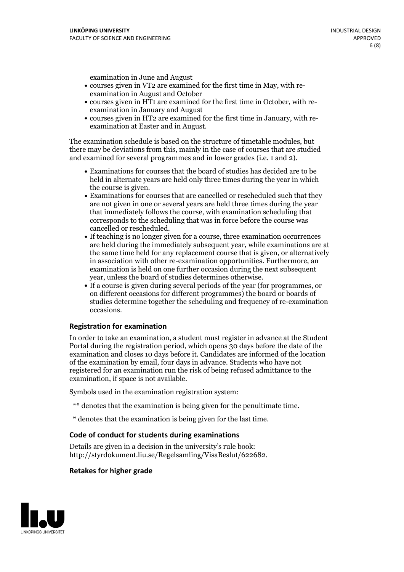examination in June and August

- courses given in VT2 are examined for the first time in May, with re-examination in August and October
- courses given in HT1 are examined for the first time in October, with re-examination in January and August
- courses given in HT2 are examined for the first time in January, with re-examination at Easter and in August.

The examination schedule is based on the structure of timetable modules, but there may be deviations from this, mainly in the case of courses that are studied and examined for several programmes and in lower grades (i.e. 1 and 2).

- Examinations for courses that the board of studies has decided are to be held in alternate years are held only three times during the year in which
- the course is given.<br>• Examinations for courses that are cancelled or rescheduled such that they are not given in one or several years are held three times during the year that immediately follows the course, with examination scheduling that corresponds to the scheduling that was in force before the course was cancelled or rescheduled.<br>• If teaching is no longer given for a course, three examination occurrences
- are held during the immediately subsequent year, while examinations are at the same time held for any replacement course that is given, or alternatively in association with other re-examination opportunities. Furthermore, an examination is held on one further occasion during the next subsequent year, unless the board of studies determines otherwise.<br>• If a course is given during several periods of the year (for programmes, or
- on different occasions for different programmes) the board orboards of studies determine together the scheduling and frequency of re-examination occasions.

#### **Registration for examination**

In order to take an examination, a student must register in advance at the Student Portal during the registration period, which opens 30 days before the date of the examination and closes 10 days before it. Candidates are informed of the location of the examination by email, four days in advance. Students who have not registered for an examination run the risk of being refused admittance to the examination, if space is not available.

Symbols used in the examination registration system:

- \*\* denotes that the examination is being given for the penultimate time.
- \* denotes that the examination is being given for the last time.

#### **Code of conduct for students during examinations**

Details are given in a decision in the university's rule book: http://styrdokument.liu.se/Regelsamling/VisaBeslut/622682.

#### **Retakes for higher grade**

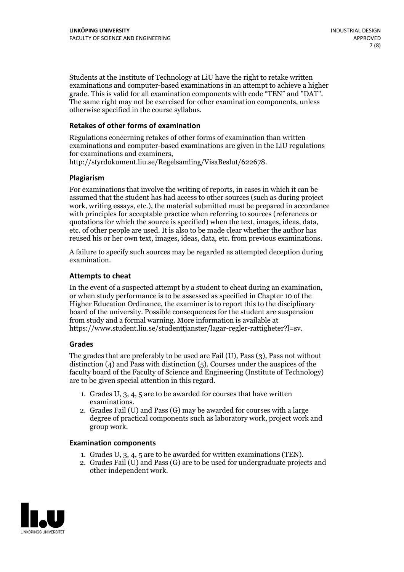Students at the Institute of Technology at LiU have the right to retake written examinations and computer-based examinations in an attempt to achieve a higher grade. This is valid for all examination components with code "TEN" and "DAT". The same right may not be exercised for other examination components, unless otherwise specified in the course syllabus.

#### **Retakes of other forms of examination**

Regulations concerning retakes of other forms of examination than written examinations and computer-based examinations are given in the LiU regulations for examinations and examiners, http://styrdokument.liu.se/Regelsamling/VisaBeslut/622678.

#### **Plagiarism**

For examinations that involve the writing of reports, in cases in which it can be assumed that the student has had access to other sources (such as during project work, writing essays, etc.), the material submitted must be prepared in accordance with principles for acceptable practice when referring to sources (references or quotations for which the source is specified) when the text, images, ideas, data, etc. of other people are used. It is also to be made clear whether the author has reused his or her own text, images, ideas, data, etc. from previous examinations.

A failure to specify such sources may be regarded as attempted deception during examination.

#### **Attempts to cheat**

In the event of <sup>a</sup> suspected attempt by <sup>a</sup> student to cheat during an examination, or when study performance is to be assessed as specified in Chapter <sup>10</sup> of the Higher Education Ordinance, the examiner is to report this to the disciplinary board of the university. Possible consequences for the student are suspension from study and a formal warning. More information is available at https://www.student.liu.se/studenttjanster/lagar-regler-rattigheter?l=sv.

#### **Grades**

The grades that are preferably to be used are Fail (U), Pass (3), Pass not without distinction  $(4)$  and Pass with distinction  $(5)$ . Courses under the auspices of the faculty board of the Faculty of Science and Engineering (Institute of Technology) are to be given special attention in this regard.

- 1. Grades U, 3, 4, 5 are to be awarded for courses that have written
- examinations. 2. Grades Fail (U) and Pass (G) may be awarded for courses with <sup>a</sup> large degree of practical components such as laboratory work, project work and group work.

#### **Examination components**

- 
- 1. Grades U, 3, 4, <sup>5</sup> are to be awarded for written examinations (TEN). 2. Grades Fail (U) and Pass (G) are to be used for undergraduate projects and other independent work.